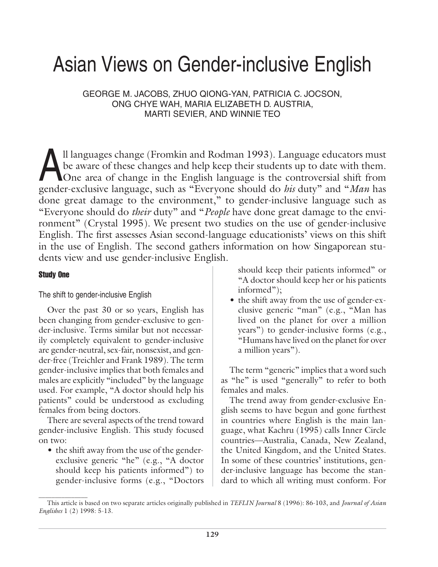# Asian Views on Gender-inclusive English

GEORGE M. JACOBS, ZHUO QIONG-YAN, PATRICIA C. JOCSON, ONG CHYE WAH, MARIA ELIZABETH D. AUSTRIA, MARTI SEVIER, AND WINNIE TEO

Il languages change (Fromkin and Rodman 1993). Language educators must<br>be aware of these changes and help keep their students up to date with them.<br>One area of change in the English language is the controversial shift from be aware of these changes and help keep their students up to date with them. gender-exclusive language, such as "Everyone should do *his* duty" and "*Man* has done great damage to the environment," to gender-inclusive language such as "Everyone should do *their* duty" and "*People* have done great damage to the environment" (Crystal 1995). We present two studies on the use of gender-inclusive English. The first assesses Asian second-language educationists' views on this shift in the use of English. The second gathers information on how Singaporean students view and use gender-inclusive English.

# Study One

# The shift to gender-inclusive English

Over the past 30 or so years, English has been changing from gender-exclusive to gender-inclusive. Terms similar but not necessarily completely equivalent to gender-inclusive are gender-neutral, sex-fair, nonsexist, and gender-free (Treichler and Frank 1989). The term gender-inclusive implies that both females and males are explicitly "included" by the language used. For example, "A doctor should help his patients" could be understood as excluding females from being doctors.

There are several aspects of the trend toward gender-inclusive English. This study focused on two:

• the shift away from the use of the genderexclusive generic "he" (e.g., "A doctor should keep his patients informed") to gender-inclusive forms (e.g., "Doctors

should keep their patients informed" or "A doctor should keep her or his patients informed");

• the shift away from the use of gender-exclusive generic "man" (e.g., "Man has lived on the planet for over a million years") to gender-inclusive forms (e.g., "Humans have lived on the planet for over a million years").

The term "generic" implies that a word such as "he" is used "generally" to refer to both females and males.

The trend away from gender-exclusive English seems to have begun and gone furthest in countries where English is the main language, what Kachru (1995) calls Inner Circle countries—Australia, Canada, New Zealand, the United Kingdom, and the United States. In some of these countries' institutions, gender-inclusive language has become the standard to which all writing must conform. For

 $\overline{\phantom{a}}$  , where  $\overline{\phantom{a}}$ This article is based on two separate articles originally published in *TEFLIN Journal* 8 (1996): 86-103, and *Journal of Asian Englishes* 1 (2) 1998: 5-13.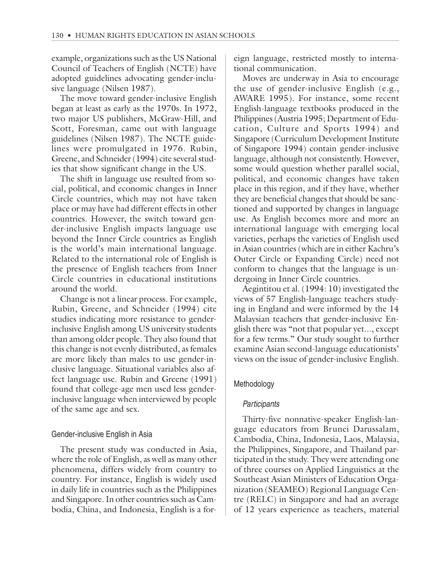example, organizations such as the US National Council of Teachers of English (NCTE) have adopted guidelines advocating gender-inclusive language (Nilsen 1987).

The move toward gender-inclusive English began at least as early as the 1970s. In 1972, two major US publishers, McGraw-Hill, and Scott, Foresman, came out with language guidelines (Nilsen 1987). The NCTE guidelines were promulgated in 1976. Rubin, Greene, and Schneider (1994) cite several studies that show significant change in the US.

The shift in language use resulted from social, political, and economic changes in Inner Circle countries, which may not have taken place or may have had different effects in other countries. However, the switch toward gender-inclusive English impacts language use beyond the Inner Circle countries as English is the world's main international language. Related to the international role of English is the presence of English teachers from Inner Circle countries in educational institutions around the world.

Change is not a linear process. For example, Rubin, Greene, and Schneider (1994) cite studies indicating more resistance to genderinclusive English among US university students than among older people. They also found that this change is not evenly distributed, as females are more likely than males to use gender-inclusive language. Situational variables also affect language use. Rubin and Greene (1991) found that college-age men used less genderinclusive language when interviewed by people of the same age and sex.

# Gender-inclusive English in Asia

The present study was conducted in Asia, where the role of English, as well as many other phenomena, differs widely from country to country. For instance, English is widely used in daily life in countries such as the Philippines and Singapore. In other countries such as Cambodia, China, and Indonesia, English is a foreign language, restricted mostly to international communication.

Moves are underway in Asia to encourage the use of gender-inclusive English (e.g., AWARE 1995). For instance, some recent English-language textbooks produced in the Philippines (Austria 1995; Department of Education, Culture and Sports 1994) and Singapore (Curriculum Development Institute of Singapore 1994) contain gender-inclusive language, although not consistently. However, some would question whether parallel social, political, and economic changes have taken place in this region, and if they have, whether they are beneficial changes that should be sanctioned and supported by changes in language use. As English becomes more and more an international language with emerging local varieties, perhaps the varieties of English used in Asian countries (which are in either Kachru's Outer Circle or Expanding Circle) need not conform to changes that the language is undergoing in Inner Circle countries.

Aegintitou et al. (1994: 10) investigated the views of 57 English-language teachers studying in England and were informed by the 14 Malaysian teachers that gender-inclusive English there was "not that popular yet..., except for a few terms." Our study sought to further examine Asian second-language educationists' views on the issue of gender-inclusive English.

# Methodology

# **Participants**

Thirty-five nonnative-speaker English-language educators from Brunei Darussalam, Cambodia, China, Indonesia, Laos, Malaysia, the Philippines, Singapore, and Thailand participated in the study. They were attending one of three courses on Applied Linguistics at the Southeast Asian Ministers of Education Organization (SEAMEO) Regional Language Centre (RELC) in Singapore and had an average of 12 years experience as teachers, material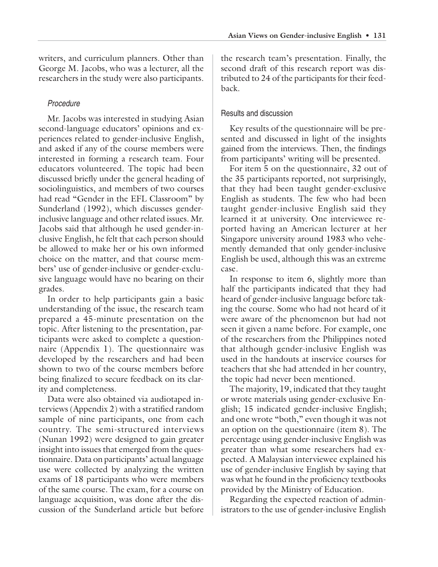writers, and curriculum planners. Other than George M. Jacobs, who was a lecturer, all the researchers in the study were also participants.

# Procedure

Mr. Jacobs was interested in studying Asian second-language educators' opinions and experiences related to gender-inclusive English, and asked if any of the course members were interested in forming a research team. Four educators volunteered. The topic had been discussed briefly under the general heading of sociolinguistics, and members of two courses had read "Gender in the EFL Classroom" by Sunderland (1992), which discusses genderinclusive language and other related issues. Mr. Jacobs said that although he used gender-inclusive English, he felt that each person should be allowed to make her or his own informed choice on the matter, and that course members' use of gender-inclusive or gender-exclusive language would have no bearing on their grades.

In order to help participants gain a basic understanding of the issue, the research team prepared a 45-minute presentation on the topic. After listening to the presentation, participants were asked to complete a questionnaire (Appendix 1). The questionnaire was developed by the researchers and had been shown to two of the course members before being finalized to secure feedback on its clarity and completeness.

Data were also obtained via audiotaped interviews (Appendix 2) with a stratified random sample of nine participants, one from each country. The semi-structured interviews (Nunan 1992) were designed to gain greater insight into issues that emerged from the questionnaire. Data on participants' actual language use were collected by analyzing the written exams of 18 participants who were members of the same course. The exam, for a course on language acquisition, was done after the discussion of the Sunderland article but before the research team's presentation. Finally, the second draft of this research report was distributed to 24 of the participants for their feedback.

# Results and discussion

Key results of the questionnaire will be presented and discussed in light of the insights gained from the interviews. Then, the findings from participants' writing will be presented.

For item 5 on the questionnaire, 32 out of the 35 participants reported, not surprisingly, that they had been taught gender-exclusive English as students. The few who had been taught gender-inclusive English said they learned it at university. One interviewee reported having an American lecturer at her Singapore university around 1983 who vehemently demanded that only gender-inclusive English be used, although this was an extreme case.

In response to item 6, slightly more than half the participants indicated that they had heard of gender-inclusive language before taking the course. Some who had not heard of it were aware of the phenomenon but had not seen it given a name before. For example, one of the researchers from the Philippines noted that although gender-inclusive English was used in the handouts at inservice courses for teachers that she had attended in her country, the topic had never been mentioned.

The majority, 19, indicated that they taught or wrote materials using gender-exclusive English; 15 indicated gender-inclusive English; and one wrote "both," even though it was not an option on the questionnaire (item 8). The percentage using gender-inclusive English was greater than what some researchers had expected. A Malaysian interviewee explained his use of gender-inclusive English by saying that was what he found in the proficiency textbooks provided by the Ministry of Education.

Regarding the expected reaction of administrators to the use of gender-inclusive English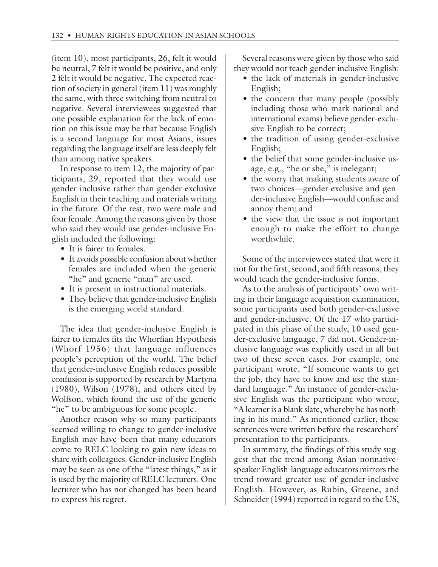(item 10), most participants, 26, felt it would be neutral, 7 felt it would be positive, and only 2 felt it would be negative. The expected reaction of society in general (item 11) was roughly the same, with three switching from neutral to negative. Several interviewees suggested that one possible explanation for the lack of emotion on this issue may be that because English is a second language for most Asians, issues regarding the language itself are less deeply felt than among native speakers.

In response to item 12, the majority of participants, 29, reported that they would use gender-inclusive rather than gender-exclusive English in their teaching and materials writing in the future. Of the rest, two were male and four female. Among the reasons given by those who said they would use gender-inclusive English included the following:

- It is fairer to females.
- It avoids possible confusion about whether females are included when the generic "he" and generic "man" are used.
- It is present in instructional materials.
- They believe that gender-inclusive English is the emerging world standard.

The idea that gender-inclusive English is fairer to females fits the Whorfian Hypothesis (Whorf 1956) that language influences people's perception of the world. The belief that gender-inclusive English reduces possible confusion is supported by research by Martyna (1980), Wilson (1978), and others cited by Wolfson, which found the use of the generic "he" to be ambiguous for some people.

Another reason why so many participants seemed willing to change to gender-inclusive English may have been that many educators come to RELC looking to gain new ideas to share with colleagues. Gender-inclusive English may be seen as one of the "latest things," as it is used by the majority of RELC lecturers. One lecturer who has not changed has been heard to express his regret.

Several reasons were given by those who said they would not teach gender-inclusive English:

- the lack of materials in gender-inclusive English;
- the concern that many people (possibly including those who mark national and international exams) believe gender-exclusive English to be correct;
- the tradition of using gender-exclusive English;
- the belief that some gender-inclusive usage, e.g., "he or she," is inelegant;
- the worry that making students aware of two choices—gender-exclusive and gender-inclusive English—would confuse and annoy them; and
- the view that the issue is not important enough to make the effort to change worthwhile.

Some of the interviewees stated that were it not for the first, second, and fifth reasons, they would teach the gender-inclusive forms.

As to the analysis of participants' own writing in their language acquisition examination, some participants used both gender-exclusive and gender-inclusive. Of the 17 who participated in this phase of the study, 10 used gender-exclusive language, 7 did not. Gender-inclusive language was explicitly used in all but two of these seven cases. For example, one participant wrote, "If someone wants to get the job, they have to know and use the standard language." An instance of gender-exclusive English was the participant who wrote, "A learner is a blank slate, whereby he has nothing in his mind." As mentioned earlier, these sentences were written before the researchers' presentation to the participants.

In summary, the findings of this study suggest that the trend among Asian nonnativespeaker English-language educators mirrors the trend toward greater use of gender-inclusive English. However, as Rubin, Greene, and Schneider (1994) reported in regard to the US,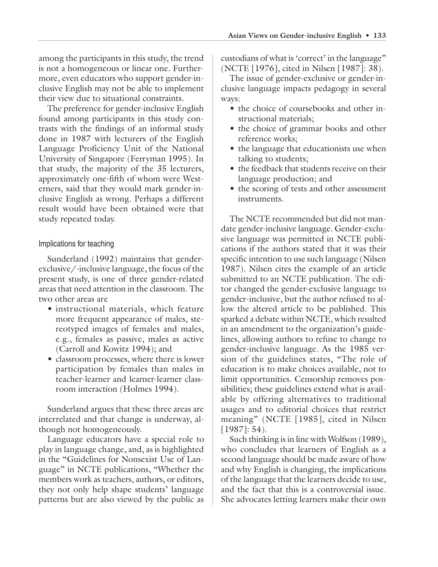among the participants in this study, the trend is not a homogeneous or linear one. Furthermore, even educators who support gender-inclusive English may not be able to implement their view due to situational constraints.

The preference for gender-inclusive English found among participants in this study contrasts with the findings of an informal study done in 1987 with lecturers of the English Language Proficiency Unit of the National University of Singapore (Ferryman 1995). In that study, the majority of the 35 lecturers, approximately one-fifth of whom were Westerners, said that they would mark gender-inclusive English as wrong. Perhaps a different result would have been obtained were that study repeated today.

# Implications for teaching

Sunderland (1992) maintains that genderexclusive/-inclusive language, the focus of the present study, is one of three gender-related areas that need attention in the classroom. The two other areas are

- instructional materials, which feature more frequent appearance of males, stereotyped images of females and males, e.g., females as passive, males as active (Carroll and Kowitz 1994); and
- classroom processes, where there is lower participation by females than males in teacher-learner and learner-learner classroom interaction (Holmes 1994).

Sunderland argues that these three areas are interrelated and that change is underway, although not homogeneously.

Language educators have a special role to play in language change, and, as is highlighted in the "Guidelines for Nonsexist Use of Language" in NCTE publications, "Whether the members work as teachers, authors, or editors, they not only help shape students' language patterns but are also viewed by the public as

custodians of what is 'correct' in the language" (NCTE [1976], cited in Nilsen [1987]: 38).

The issue of gender-exclusive or gender-inclusive language impacts pedagogy in several ways:

- the choice of coursebooks and other instructional materials;
- the choice of grammar books and other reference works;
- the language that educationists use when talking to students;
- the feedback that students receive on their language production; and
- the scoring of tests and other assessment instruments.

The NCTE recommended but did not mandate gender-inclusive language. Gender-exclusive language was permitted in NCTE publications if the authors stated that it was their specific intention to use such language (Nilsen 1987). Nilsen cites the example of an article submitted to an NCTE publication. The editor changed the gender-exclusive language to gender-inclusive, but the author refused to allow the altered article to be published. This sparked a debate within NCTE, which resulted in an amendment to the organization's guidelines, allowing authors to refuse to change to gender-inclusive language. As the 1985 version of the guidelines states, "The role of education is to make choices available, not to limit opportunities. Censorship removes possibilities; these guidelines extend what is available by offering alternatives to traditional usages and to editorial choices that restrict meaning" (NCTE [1985], cited in Nilsen [1987]: 54).

Such thinking is in line with Wolfson (1989), who concludes that learners of English as a second language should be made aware of how and why English is changing, the implications of the language that the learners decide to use, and the fact that this is a controversial issue. She advocates letting learners make their own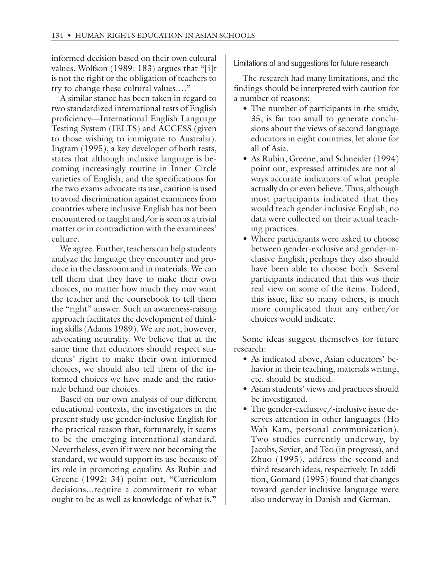informed decision based on their own cultural values. Wolfson (1989: 183) argues that "[i]t is not the right or the obligation of teachers to try to change these cultural values…."

A similar stance has been taken in regard to two standardized international tests of English proficiency—International English Language Testing System (IELTS) and ACCESS (given to those wishing to immigrate to Australia). Ingram (1995), a key developer of both tests, states that although inclusive language is becoming increasingly routine in Inner Circle varieties of English, and the specifications for the two exams advocate its use, caution is used to avoid discrimination against examinees from countries where inclusive English has not been encountered or taught and/or is seen as a trivial matter or in contradiction with the examinees' culture.

We agree. Further, teachers can help students analyze the language they encounter and produce in the classroom and in materials. We can tell them that they have to make their own choices, no matter how much they may want the teacher and the coursebook to tell them the "right" answer. Such an awareness-raising approach facilitates the development of thinking skills (Adams 1989). We are not, however, advocating neutrality. We believe that at the same time that educators should respect students' right to make their own informed choices, we should also tell them of the informed choices we have made and the rationale behind our choices.

Based on our own analysis of our different educational contexts, the investigators in the present study use gender-inclusive English for the practical reason that, fortunately, it seems to be the emerging international standard. Nevertheless, even if it were not becoming the standard, we would support its use because of its role in promoting equality. As Rubin and Greene (1992: 34) point out, "Curriculum decisions...require a commitment to what ought to be as well as knowledge of what is."

Limitations of and suggestions for future research

The research had many limitations, and the findings should be interpreted with caution for a number of reasons:

- The number of participants in the study, 35, is far too small to generate conclusions about the views of second-language educators in eight countries, let alone for all of Asia.
- As Rubin, Greene, and Schneider (1994) point out, expressed attitudes are not always accurate indicators of what people actually do or even believe. Thus, although most participants indicated that they would teach gender-inclusive English, no data were collected on their actual teaching practices.
- Where participants were asked to choose between gender-exclusive and gender-inclusive English, perhaps they also should have been able to choose both. Several participants indicated that this was their real view on some of the items. Indeed, this issue, like so many others, is much more complicated than any either/or choices would indicate.

Some ideas suggest themselves for future research:

- As indicated above, Asian educators' behavior in their teaching, materials writing, etc. should be studied.
- Asian students' views and practices should be investigated.
- The gender-exclusive/-inclusive issue deserves attention in other languages (Ho Wah Kam, personal communication). Two studies currently underway, by Jacobs, Sevier, and Teo (in progress), and Zhuo (1995), address the second and third research ideas, respectively. In addition, Gomard (1995) found that changes toward gender-inclusive language were also underway in Danish and German.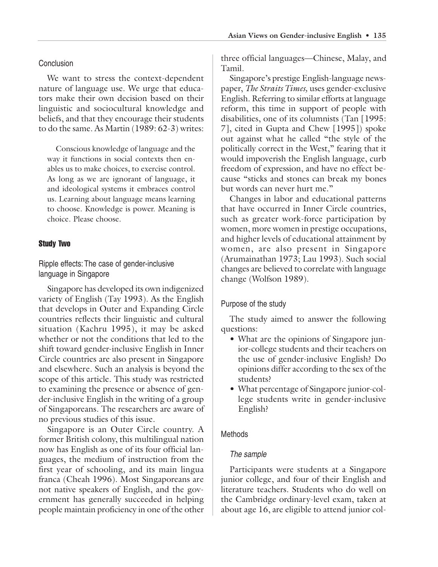# **Conclusion**

We want to stress the context-dependent nature of language use. We urge that educators make their own decision based on their linguistic and sociocultural knowledge and beliefs, and that they encourage their students to do the same. As Martin (1989: 62-3) writes:

Conscious knowledge of language and the way it functions in social contexts then enables us to make choices, to exercise control. As long as we are ignorant of language, it and ideological systems it embraces control us. Learning about language means learning to choose. Knowledge is power. Meaning is choice. Please choose.

# Study Two

Ripple effects: The case of gender-inclusive language in Singapore

Singapore has developed its own indigenized variety of English (Tay 1993). As the English that develops in Outer and Expanding Circle countries reflects their linguistic and cultural situation (Kachru 1995), it may be asked whether or not the conditions that led to the shift toward gender-inclusive English in Inner Circle countries are also present in Singapore and elsewhere. Such an analysis is beyond the scope of this article. This study was restricted to examining the presence or absence of gender-inclusive English in the writing of a group of Singaporeans. The researchers are aware of no previous studies of this issue.

Singapore is an Outer Circle country. A former British colony, this multilingual nation now has English as one of its four official languages, the medium of instruction from the first year of schooling, and its main lingua franca (Cheah 1996). Most Singaporeans are not native speakers of English, and the government has generally succeeded in helping people maintain proficiency in one of the other

three official languages—Chinese, Malay, and Tamil.

Singapore's prestige English-language newspaper, *The Straits Times,* uses gender-exclusive English. Referring to similar efforts at language reform, this time in support of people with disabilities, one of its columnists (Tan [1995: 7], cited in Gupta and Chew [1995]) spoke out against what he called "the style of the politically correct in the West," fearing that it would impoverish the English language, curb freedom of expression, and have no effect because "sticks and stones can break my bones but words can never hurt me."

Changes in labor and educational patterns that have occurred in Inner Circle countries, such as greater work-force participation by women, more women in prestige occupations, and higher levels of educational attainment by women, are also present in Singapore (Arumainathan 1973; Lau 1993). Such social changes are believed to correlate with language change (Wolfson 1989).

# Purpose of the study

The study aimed to answer the following questions:

- What are the opinions of Singapore junior-college students and their teachers on the use of gender-inclusive English? Do opinions differ according to the sex of the students?
- What percentage of Singapore junior-college students write in gender-inclusive English?

# Methods

# The sample

Participants were students at a Singapore junior college, and four of their English and literature teachers. Students who do well on the Cambridge ordinary-level exam, taken at about age 16, are eligible to attend junior col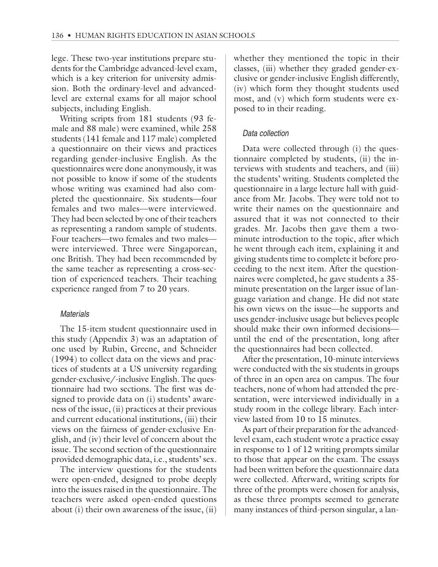lege. These two-year institutions prepare students for the Cambridge advanced-level exam, which is a key criterion for university admission. Both the ordinary-level and advancedlevel are external exams for all major school subjects, including English.

Writing scripts from 181 students (93 female and 88 male) were examined, while 258 students (141 female and 117 male) completed a questionnaire on their views and practices regarding gender-inclusive English. As the questionnaires were done anonymously, it was not possible to know if some of the students whose writing was examined had also completed the questionnaire. Six students—four females and two males—were interviewed. They had been selected by one of their teachers as representing a random sample of students. Four teachers—two females and two males were interviewed. Three were Singaporean, one British. They had been recommended by the same teacher as representing a cross-section of experienced teachers. Their teaching experience ranged from 7 to 20 years.

#### Materials

The 15-item student questionnaire used in this study (Appendix 3) was an adaptation of one used by Rubin, Greene, and Schneider (1994) to collect data on the views and practices of students at a US university regarding gender-exclusive/-inclusive English. The questionnaire had two sections. The first was designed to provide data on (i) students' awareness of the issue, (ii) practices at their previous and current educational institutions, (iii) their views on the fairness of gender-exclusive English, and (iv) their level of concern about the issue. The second section of the questionnaire provided demographic data, i.e., students' sex.

The interview questions for the students were open-ended, designed to probe deeply into the issues raised in the questionnaire. The teachers were asked open-ended questions about (i) their own awareness of the issue, (ii) whether they mentioned the topic in their classes, (iii) whether they graded gender-exclusive or gender-inclusive English differently, (iv) which form they thought students used most, and (v) which form students were exposed to in their reading.

## Data collection

Data were collected through (i) the questionnaire completed by students, (ii) the interviews with students and teachers, and (iii) the students' writing. Students completed the questionnaire in a large lecture hall with guidance from Mr. Jacobs. They were told not to write their names on the questionnaire and assured that it was not connected to their grades. Mr. Jacobs then gave them a twominute introduction to the topic, after which he went through each item, explaining it and giving students time to complete it before proceeding to the next item. After the questionnaires were completed, he gave students a 35 minute presentation on the larger issue of language variation and change. He did not state his own views on the issue—he supports and uses gender-inclusive usage but believes people should make their own informed decisions until the end of the presentation, long after the questionnaires had been collected.

After the presentation, 10-minute interviews were conducted with the six students in groups of three in an open area on campus. The four teachers, none of whom had attended the presentation, were interviewed individually in a study room in the college library. Each interview lasted from 10 to 15 minutes.

As part of their preparation for the advancedlevel exam, each student wrote a practice essay in response to 1 of 12 writing prompts similar to those that appear on the exam. The essays had been written before the questionnaire data were collected. Afterward, writing scripts for three of the prompts were chosen for analysis, as these three prompts seemed to generate many instances of third-person singular, a lan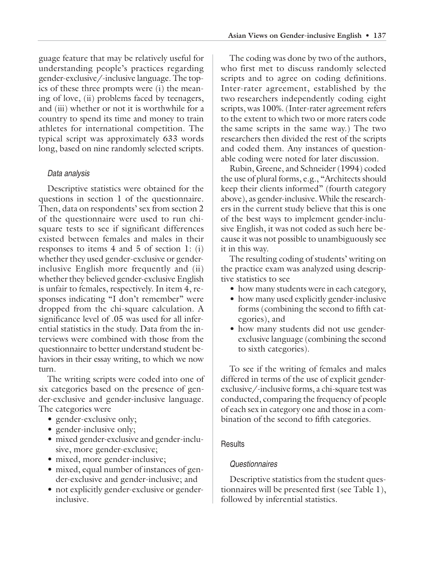guage feature that may be relatively useful for understanding people's practices regarding gender-exclusive/-inclusive language. The topics of these three prompts were (i) the meaning of love, (ii) problems faced by teenagers, and (iii) whether or not it is worthwhile for a country to spend its time and money to train athletes for international competition. The typical script was approximately 633 words long, based on nine randomly selected scripts.

# Data analysis

Descriptive statistics were obtained for the questions in section 1 of the questionnaire. Then, data on respondents' sex from section 2 of the questionnaire were used to run chisquare tests to see if significant differences existed between females and males in their responses to items 4 and 5 of section 1: (i) whether they used gender-exclusive or genderinclusive English more frequently and (ii) whether they believed gender-exclusive English is unfair to females, respectively. In item 4, responses indicating "I don't remember" were dropped from the chi-square calculation. A significance level of .05 was used for all inferential statistics in the study. Data from the interviews were combined with those from the questionnaire to better understand student behaviors in their essay writing, to which we now turn.

The writing scripts were coded into one of six categories based on the presence of gender-exclusive and gender-inclusive language. The categories were

- gender-exclusive only;
- gender-inclusive only;
- mixed gender-exclusive and gender-inclusive, more gender-exclusive;
- mixed, more gender-inclusive;
- mixed, equal number of instances of gender-exclusive and gender-inclusive; and
- not explicitly gender-exclusive or genderinclusive.

The coding was done by two of the authors, who first met to discuss randomly selected scripts and to agree on coding definitions. Inter-rater agreement, established by the two researchers independently coding eight scripts, was 100%. (Inter-rater agreement refers to the extent to which two or more raters code the same scripts in the same way.) The two researchers then divided the rest of the scripts and coded them. Any instances of questionable coding were noted for later discussion.

Rubin, Greene, and Schneider (1994) coded the use of plural forms, e.g., "Architects should keep their clients informed" (fourth category above), as gender-inclusive. While the researchers in the current study believe that this is one of the best ways to implement gender-inclusive English, it was not coded as such here because it was not possible to unambiguously see it in this way.

The resulting coding of students' writing on the practice exam was analyzed using descriptive statistics to see

- how many students were in each category,
- how many used explicitly gender-inclusive forms (combining the second to fifth categories), and
- how many students did not use genderexclusive language (combining the second to sixth categories).

To see if the writing of females and males differed in terms of the use of explicit genderexclusive/-inclusive forms, a chi-square test was conducted, comparing the frequency of people of each sex in category one and those in a combination of the second to fifth categories.

# **Results**

# **Questionnaires**

Descriptive statistics from the student questionnaires will be presented first (see Table 1), followed by inferential statistics.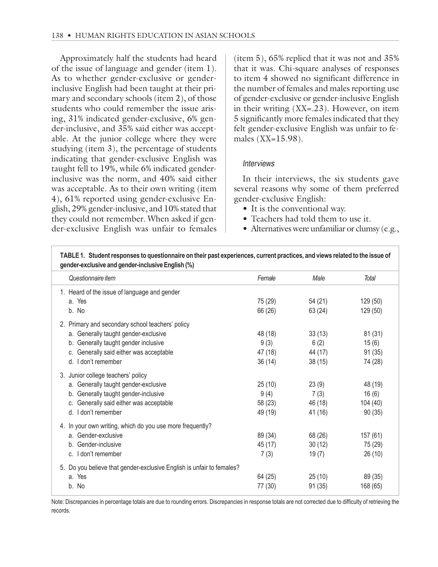Approximately half the students had heard of the issue of language and gender (item 1). As to whether gender-exclusive or genderinclusive English had been taught at their primary and secondary schools (item 2), of those students who could remember the issue arising, 31% indicated gender-exclusive, 6% gender-inclusive, and 35% said either was acceptable. At the junior college where they were studying (item 3), the percentage of students indicating that gender-exclusive English was taught fell to 19%, while 6% indicated genderinclusive was the norm, and 40% said either was acceptable. As to their own writing (item 4), 61% reported using gender-exclusive English, 29% gender-inclusive, and 10% stated that they could not remember. When asked if gender-exclusive English was unfair to females

(item 5), 65% replied that it was not and 35% that it was. Chi-square analyses of responses to item 4 showed no significant difference in the number of females and males reporting use of gender-exclusive or gender-inclusive English in their writing (XX=.23). However, on item 5 significantly more females indicated that they felt gender-exclusive English was unfair to females (XX=15.98).

### **Interviews**

In their interviews, the six students gave several reasons why some of them preferred gender-exclusive English:

- It is the conventional way.
- Teachers had told them to use it.
- Alternatives were unfamiliar or clumsy (e.g.,

| Questionnaire item                                                    | Female  | Male    | Total    |
|-----------------------------------------------------------------------|---------|---------|----------|
| 1. Heard of the issue of language and gender                          |         |         |          |
| a. Yes                                                                | 75 (29) | 54 (21) | 129 (50) |
| b. No                                                                 | 66 (26) | 63 (24) | 129 (50) |
| 2. Primary and secondary school teachers' policy                      |         |         |          |
| a. Generally taught gender-exclusive                                  | 48 (18) | 33(13)  | 81 (31)  |
| b. Generally taught gender inclusive                                  | 9(3)    | 6(2)    | 15(6)    |
| c. Generally said either was acceptable                               | 47 (18) | 44 (17) | 91(35)   |
| d. I don't remember                                                   | 36(14)  | 38(15)  | 74 (28)  |
| 3. Junior college teachers' policy                                    |         |         |          |
| a. Generally taught gender-exclusive                                  | 25(10)  | 23(9)   | 48 (19)  |
| b. Generally taught gender-inclusive                                  | 9(4)    | 7(3)    | 16(6)    |
| c. Generally said either was acceptable                               | 58 (23) | 46 (18) | 104 (40) |
| d. I don't remember                                                   | 49 (19) | 41 (16) | 90(35)   |
| 4. In your own writing, which do you use more frequently?             |         |         |          |
| a. Gender-exclusive                                                   | 89 (34) | 68 (26) | 157(61)  |
| b. Gender-inclusive                                                   | 45 (17) | 30(12)  | 75 (29)  |
| c. I don't remember                                                   | 7(3)    | 19(7)   | 26(10)   |
| 5. Do you believe that gender-exclusive English is unfair to females? |         |         |          |
| a. Yes                                                                | 64 (25) | 25(10)  | 89 (35)  |
| b. No                                                                 | 77 (30) | 91(35)  | 168 (65) |

Note: Discrepancies in percentage totals are due to rounding errors. Discrepancies in response totals are not corrected due to difficulty of retrieving the records.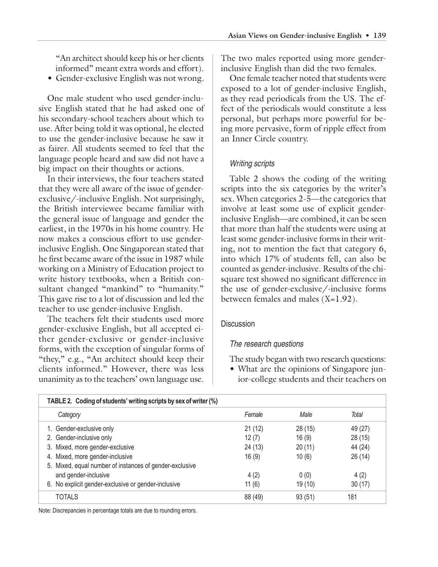"An architect should keep his or her clients informed" meant extra words and effort).

• Gender-exclusive English was not wrong.

One male student who used gender-inclusive English stated that he had asked one of his secondary-school teachers about which to use. After being told it was optional, he elected to use the gender-inclusive because he saw it as fairer. All students seemed to feel that the language people heard and saw did not have a big impact on their thoughts or actions.

In their interviews, the four teachers stated that they were all aware of the issue of genderexclusive/-inclusive English. Not surprisingly, the British interviewee became familiar with the general issue of language and gender the earliest, in the 1970s in his home country. He now makes a conscious effort to use genderinclusive English. One Singaporean stated that he first became aware of the issue in 1987 while working on a Ministry of Education project to write history textbooks, when a British consultant changed "mankind" to "humanity." This gave rise to a lot of discussion and led the teacher to use gender-inclusive English.

The teachers felt their students used more gender-exclusive English, but all accepted either gender-exclusive or gender-inclusive forms, with the exception of singular forms of "they," e.g., "An architect should keep their clients informed." However, there was less unanimity as to the teachers' own language use.

The two males reported using more genderinclusive English than did the two females.

One female teacher noted that students were exposed to a lot of gender-inclusive English, as they read periodicals from the US. The effect of the periodicals would constitute a less personal, but perhaps more powerful for being more pervasive, form of ripple effect from an Inner Circle country.

#### Writing scripts

Table 2 shows the coding of the writing scripts into the six categories by the writer's sex. When categories 2-5—the categories that involve at least some use of explicit genderinclusive English—are combined, it can be seen that more than half the students were using at least some gender-inclusive forms in their writing, not to mention the fact that category 6, into which 17% of students fell, can also be counted as gender-inclusive. Results of the chisquare test showed no significant difference in the use of gender-exclusive/-inclusive forms between females and males  $(X=1.92)$ .

#### **Discussion**

#### The research questions

The study began with two research questions:

• What are the opinions of Singapore junior-college students and their teachers on

| TABLE 2. Coding of students' writing scripts by sex of writer (%) |         |         |         |  |
|-------------------------------------------------------------------|---------|---------|---------|--|
| Category                                                          | Female  | Male    | Total   |  |
| 1. Gender-exclusive only                                          | 21(12)  | 28 (15) | 49 (27) |  |
| 2. Gender-inclusive only                                          | 12(7)   | 16(9)   | 28 (15) |  |
| Mixed, more gender-exclusive<br>3.                                | 24 (13) | 20(11)  | 44 (24) |  |
| Mixed, more gender-inclusive<br>4.                                | 16(9)   | 10(6)   | 26(14)  |  |
| 5. Mixed, equal number of instances of gender-exclusive           |         |         |         |  |
| and gender-inclusive                                              | 4(2)    | 0(0)    | 4(2)    |  |
| No explicit gender-exclusive or gender-inclusive<br>6.            | 11(6)   | 19 (10) | 30(17)  |  |
| <b>TOTALS</b>                                                     | 88 (49) | 93(51)  | 181     |  |

Note: Discrepancies in percentage totals are due to rounding errors.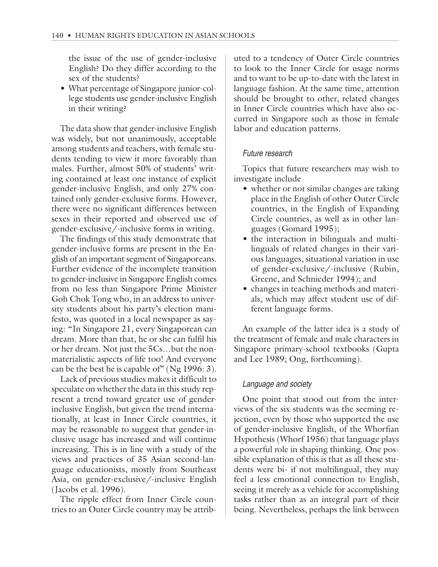the issue of the use of gender-inclusive English? Do they differ according to the sex of the students?

• What percentage of Singapore junior-college students use gender-inclusive English in their writing?

The data show that gender-inclusive English was widely, but not unanimously, acceptable among students and teachers, with female students tending to view it more favorably than males. Further, almost 50% of students' writing contained at least one instance of explicit gender-inclusive English, and only 27% contained only gender-exclusive forms. However, there were no significant differences between sexes in their reported and observed use of gender-exclusive/-inclusive forms in writing.

The findings of this study demonstrate that gender-inclusive forms are present in the English of an important segment of Singaporeans. Further evidence of the incomplete transition to gender-inclusive in Singapore English comes from no less than Singapore Prime Minister Goh Chok Tong who, in an address to university students about his party's election manifesto, was quoted in a local newspaper as saying: "In Singapore 21, every Singaporean can dream. More than that, he or she can fulfil his or her dream. Not just the 5Cs…but the nonmaterialistic aspects of life too! And everyone can be the best he is capable of" (Ng 1996: 3).

Lack of previous studies makes it difficult to speculate on whether the data in this study represent a trend toward greater use of genderinclusive English, but given the trend internationally, at least in Inner Circle countries, it may be reasonable to suggest that gender-inclusive usage has increased and will continue increasing. This is in line with a study of the views and practices of 35 Asian second-language educationists, mostly from Southeast Asia, on gender-exclusive/-inclusive English (Jacobs et al. 1996).

The ripple effect from Inner Circle countries to an Outer Circle country may be attributed to a tendency of Outer Circle countries to look to the Inner Circle for usage norms and to want to be up-to-date with the latest in language fashion. At the same time, attention should be brought to other, related changes in Inner Circle countries which have also occurred in Singapore such as those in female labor and education patterns.

# Future research

Topics that future researchers may wish to investigate include

- whether or not similar changes are taking place in the English of other Outer Circle countries, in the English of Expanding Circle countries, as well as in other languages (Gomard 1995);
- the interaction in bilinguals and multilinguals of related changes in their various languages, situational variation in use of gender-exclusive/-inclusive (Rubin, Greene, and Schnieder 1994); and
- changes in teaching methods and materials, which may affect student use of different language forms.

An example of the latter idea is a study of the treatment of female and male characters in Singapore primary-school textbooks (Gupta and Lee 1989; Ong, forthcoming).

#### Language and society

One point that stood out from the interviews of the six students was the seeming rejection, even by those who supported the use of gender-inclusive English, of the Whorfian Hypothesis (Whorf 1956) that language plays a powerful role in shaping thinking. One possible explanation of this is that as all these students were bi- if not multilingual, they may feel a less emotional connection to English, seeing it merely as a vehicle for accomplishing tasks rather than as an integral part of their being. Nevertheless, perhaps the link between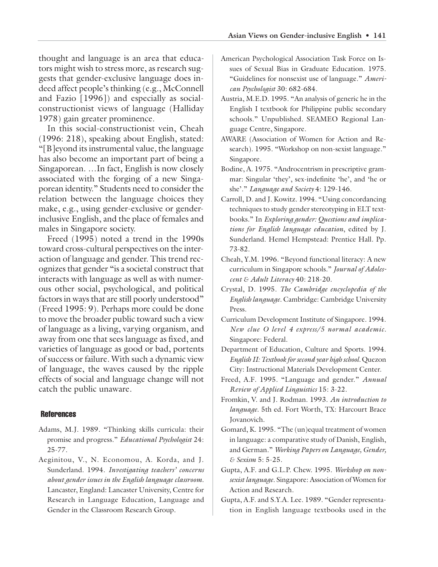thought and language is an area that educators might wish to stress more, as research suggests that gender-exclusive language does indeed affect people's thinking (e.g., McConnell and Fazio [1996]) and especially as socialconstructionist views of language (Halliday 1978) gain greater prominence.

In this social-constructionist vein, Cheah (1996: 218), speaking about English, stated: "[B]eyond its instrumental value, the language has also become an important part of being a Singaporean. …In fact, English is now closely associated with the forging of a new Singaporean identity." Students need to consider the relation between the language choices they make, e.g., using gender-exclusive or genderinclusive English, and the place of females and males in Singapore society.

Freed (1995) noted a trend in the 1990s toward cross-cultural perspectives on the interaction of language and gender. This trend recognizes that gender "is a societal construct that interacts with language as well as with numerous other social, psychological, and political factors in ways that are still poorly understood" (Freed 1995: 9). Perhaps more could be done to move the broader public toward such a view of language as a living, varying organism, and away from one that sees language as fixed, and varieties of language as good or bad, portents of success or failure. With such a dynamic view of language, the waves caused by the ripple effects of social and language change will not catch the public unaware.

#### **References**

- Adams, M.J. 1989. "Thinking skills curricula: their promise and progress." *Educational Psychologist* 24: 25-77.
- Aeginitou, V., N. Economou, A. Korda, and J. Sunderland. 1994. *Investigating teachers' concerns about gender issues in the English language classroom.* Lancaster, England: Lancaster University, Centre for Research in Language Education, Language and Gender in the Classroom Research Group.
- American Psychological Association Task Force on Issues of Sexual Bias in Graduate Education. 1975. "Guidelines for nonsexist use of language." *American Psychologist* 30: 682-684.
- Austria, M.E.D. 1995. "An analysis of generic he in the English I textbook for Philippine public secondary schools." Unpublished. SEAMEO Regional Language Centre, Singapore.
- AWARE (Association of Women for Action and Research). 1995. "Workshop on non-sexist language." Singapore.
- Bodine, A. 1975. "Androcentrism in prescriptive grammar: Singular 'they', sex-indefinite 'he', and 'he or she'." *Language and Society* 4: 129-146.
- Carroll, D. and J. Kowitz. 1994. "Using concordancing techniques to study gender stereotyping in ELT textbooks." In *Exploring gender: Questions and implications for English language education*, edited by J. Sunderland. Hemel Hempstead: Prentice Hall. Pp. 73-82.
- Cheah, Y.M. 1996. "Beyond functional literacy: A new curriculum in Singapore schools." *Journal of Adolescent & Adult Literacy* 40: 218-20.
- Crystal, D. 1995. *The Cambridge encyclopedia of the English language.* Cambridge: Cambridge University Press.
- Curriculum Development Institute of Singapore. 1994. *New clue O level 4 express/5 normal academic.* Singapore: Federal.
- Department of Education, Culture and Sports. 1994. *English II: Textbook for second year high school.* Quezon City: Instructional Materials Development Center.
- Freed, A.F. 1995. "Language and gender." *Annual Review of Applied Linguistics* 15: 3-22.
- Fromkin, V. and J. Rodman. 1993. *An introduction to language*. 5th ed. Fort Worth, TX: Harcourt Brace Jovanovich.
- Gomard, K. 1995. "The (un)equal treatment of women in language: a comparative study of Danish, English, and German." *Working Papers on Language, Gender, & Sexism* 5: 5-25.
- Gupta, A.F. and G.L.P. Chew. 1995. *Workshop on nonsexist language.* Singapore: Association of Women for Action and Research.
- Gupta, A.F. and S.Y.A. Lee. 1989. "Gender representation in English language textbooks used in the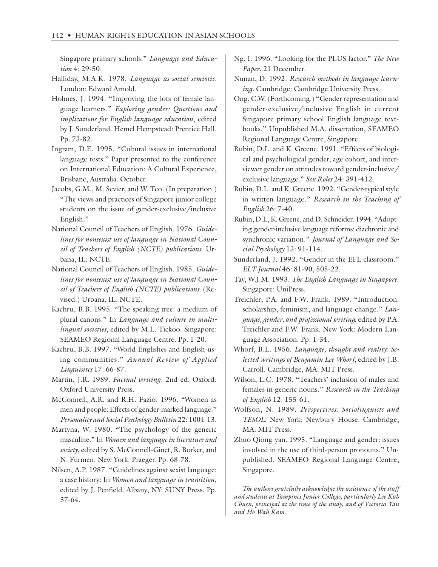Singapore primary schools." *Language and Education* 4: 29-50.

- Halliday, M.A.K. 1978. *Language as social semiotic.* London: Edward Arnold.
- Holmes, J. 1994. "Improving the lots of female language learners." *Exploring gender: Questions and implications for English language education*, edited by J. Sunderland. Hemel Hempstead: Prentice Hall. Pp. 73-82.
- Ingram, D.E. 1995. "Cultural issues in international language tests." Paper presented to the conference on International Education: A Cultural Experience, Brisbane, Australia. October.
- Jacobs, G.M., M. Sevier, and W. Teo. (In preparation.) "The views and practices of Singapore junior college students on the issue of gender-exclusive/inclusive English."
- National Council of Teachers of English. 1976. *Guidelines for nonsexist use of language in National Council of Teachers of English (NCTE) publications*. Urbana, IL: NCTE.
- National Council of Teachers of English. 1985. *Guidelines for nonsexist use of language in National Council of Teachers of English (NCTE) publications.* (Revised.) Urbana, IL: NCTE.
- Kachru, B.B. 1995. "The speaking tree: a medium of plural canons." In *Language and culture in multilingual societies*, edited by M.L. Tickoo. Singapore: SEAMEO Regional Language Centre. Pp. 1-20.
- Kachru, B.B. 1997. "World Englishes and English-using communities." *Annual Review of Applied Linguisitcs* 17: 66-87.
- Martin, J.R. 1989. *Factual writing*. 2nd ed. Oxford: Oxford University Press.
- McConnell, A.R. and R.H. Fazio. 1996. "Women as men and people: Effects of gender-marked language." *Personality and Social Psychology Bulletin* 22: 1004-13.
- Martyna, W. 1980. "The psychology of the generic masculine." In *Women and language in literature and society*, edited by S. McConnell-Ginet, R. Borker, and N. Furmen. New York: Praeger. Pp. 68-78.
- Nilsen, A.P. 1987. "Guidelines against sexist language: a case history: In *Women and language in transition*, edited by J. Penfield. Albany, NY: SUNY Press. Pp. 37-64.
- Ng, I. 1996. "Looking for the PLUS factor." *The New Paper*, 21 December.
- Nunan, D. 1992. *Research methods in language learning.* Cambridge: Cambridge University Press.
- Ong, C.W. (Forthcoming.) "Gender representation and gender-exclusive/inclusive English in current Singapore primary school English language textbooks." Unpublished M.A. dissertation, SEAMEO Regional Language Centre, Singapore.
- Rubin, D.L. and K. Greene. 1991. "Effects of biological and psychological gender, age cohort, and interviewer gender on attitudes toward gender-inclusive/ exclusive language." *Sex Roles* 24: 391-412.
- Rubin, D.L. and K. Greene. 1992. "Gender-typical style in written language." *Research in the Teaching of English* 26: 7-40.
- Rubin, D.L, K. Greene, and D. Schneider. 1994. "Adopting gender-inclusive language reforms: diachronic and synchronic variation." *Journal of Language and Social Psychology* 13: 91-114.
- Sunderland, J. 1992. "Gender in the EFL classroom." *ELT Journal* 46: 81-90, 505-22.
- Tay, W.J.M. 1993. *The English Language in Singapore*. Singapore: UniPress.
- Treichler, P.A. and F.W. Frank. 1989. "Introduction: scholarship, feminism, and language change." *Language, gender, and professional writing*, edited by P.A. Treichler and F.W. Frank. New York: Modern Language Association. Pp. 1-34.
- Whorf, B.L. 1956. *Language, thought and reality: Selected writings of Benjamin Lee Whorf*, edited by J.B. Carroll. Cambridge, MA: MIT Press.
- Wilson, L.C. 1978. "Teachers' inclusion of males and females in generic nouns." *Research in the Teaching of English* 12: 155-61.
- Wolfson, N. 1989. *Perspectives: Sociolinguists and TESOL*. New York: Newbury House. Cambridge, MA: MIT Press.
- Zhuo Qiong-yan. 1995. "Language and gender: issues involved in the use of third-person pronouns." Unpublished. SEAMEO Regional Language Centre, Singapore.

*The authors gratefully acknowledge the assistance of the staff and students at Tampines Junior College, particularly Lee Kah Chuen, principal at the time of the study, and of Victoria Yan and Ho Wah Kam.*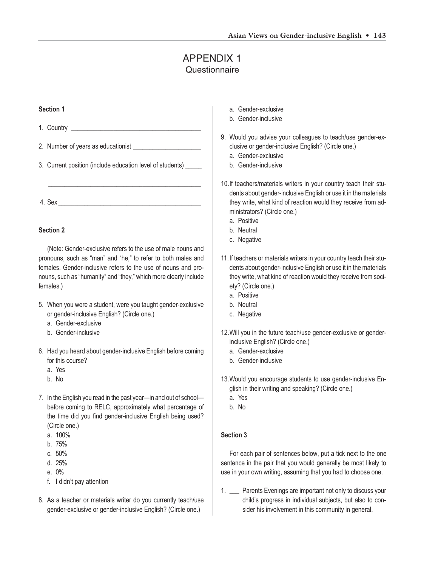# APPENDIX 1 **Questionnaire**

#### **Section 1**

- 1. Country \_\_\_\_\_\_\_\_\_\_\_\_\_\_\_\_\_\_\_\_\_\_\_\_\_\_\_\_\_\_\_\_\_\_\_\_\_\_\_\_
- 2. Number of years as educationist
- 3. Current position (include education level of students) \_\_\_\_\_

\_\_\_\_\_\_\_\_\_\_\_\_\_\_\_\_\_\_\_\_\_\_\_\_\_\_\_\_\_\_\_\_\_\_\_\_\_\_\_\_\_\_\_\_\_\_\_

 $4.$  Sex  $\overline{\phantom{a}}$ 

#### **Section 2**

(Note: Gender-exclusive refers to the use of male nouns and pronouns, such as "man" and "he," to refer to both males and females. Gender-inclusive refers to the use of nouns and pronouns, such as "humanity" and "they," which more clearly include females.)

- 5. When you were a student, were you taught gender-exclusive or gender-inclusive English? (Circle one.)
	- a. Gender-exclusive
	- b. Gender-inclusive
- 6. Had you heard about gender-inclusive English before coming for this course?
	- a. Yes
	- b. No
- 7. In the English you read in the past year—in and out of school before coming to RELC, approximately what percentage of the time did you find gender-inclusive English being used? (Circle one.)
	- a. 100%
	- b. 75%
	- c. 50%
	- d. 25%
	- e. 0%
	- f. I didn't pay attention
- 8. As a teacher or materials writer do you currently teach/use gender-exclusive or gender-inclusive English? (Circle one.)
- a. Gender-exclusive
- b. Gender-inclusive
- 9. Would you advise your colleagues to teach/use gender-exclusive or gender-inclusive English? (Circle one.)
	- a. Gender-exclusive
	- b. Gender-inclusive
- 10.If teachers/materials writers in your country teach their students about gender-inclusive English or use it in the materials they write, what kind of reaction would they receive from administrators? (Circle one.)
	- a. Positive
	- b. Neutral
	- c. Negative
- 11.If teachers or materials writers in your country teach their students about gender-inclusive English or use it in the materials they write, what kind of reaction would they receive from society? (Circle one.)
	- a. Positive
	- b. Neutral
	- c. Negative
- 12.Will you in the future teach/use gender-exclusive or genderinclusive English? (Circle one.)
	- a. Gender-exclusive
	- b. Gender-inclusive
- 13.Would you encourage students to use gender-inclusive English in their writing and speaking? (Circle one.)
	- a. Yes
	- b. No

#### **Section 3**

For each pair of sentences below, put a tick next to the one sentence in the pair that you would generally be most likely to use in your own writing, assuming that you had to choose one.

1. \_\_\_ Parents Evenings are important not only to discuss your child's progress in individual subjects, but also to consider his involvement in this community in general.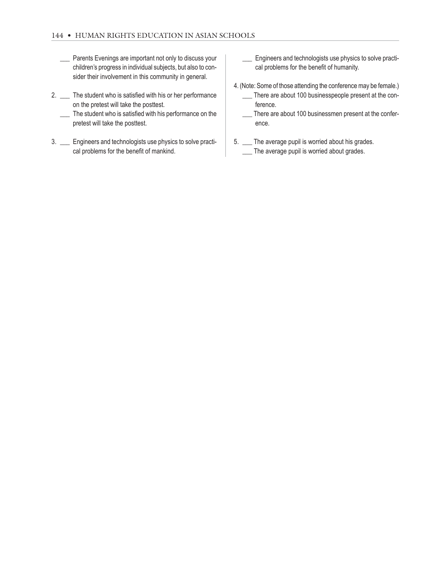- Parents Evenings are important not only to discuss your children's progress in individual subjects, but also to consider their involvement in this community in general.
- 2. \_\_ The student who is satisfied with his or her performance on the pretest will take the posttest.
	- \_\_\_ The student who is satisfied with his performance on the pretest will take the posttest.
- 3. \_\_\_ Engineers and technologists use physics to solve practical problems for the benefit of mankind.
- Engineers and technologists use physics to solve practical problems for the benefit of humanity.
- 4. (Note: Some of those attending the conference may be female.) There are about 100 businesspeople present at the conference.
	- \_\_\_ There are about 100 businessmen present at the conference.
- 5. \_\_\_ The average pupil is worried about his grades. The average pupil is worried about grades.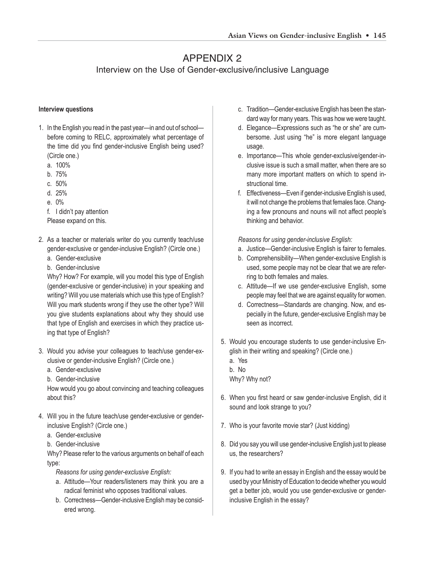# APPENDIX 2

# Interview on the Use of Gender-exclusive/inclusive Language

#### **Interview questions**

- 1. In the English you read in the past year—in and out of school before coming to RELC, approximately what percentage of the time did you find gender-inclusive English being used? (Circle one.)
	- a. 100%
	- b. 75%
	- c. 50%
	- d. 25%
	- e. 0%

f. I didn't pay attention

Please expand on this.

- 2. As a teacher or materials writer do you currently teach/use gender-exclusive or gender-inclusive English? (Circle one.)
	- a. Gender-exclusive
	- b. Gender-inclusive

Why? How? For example, will you model this type of English (gender-exclusive or gender-inclusive) in your speaking and writing? Will you use materials which use this type of English? Will you mark students wrong if they use the other type? Will you give students explanations about why they should use that type of English and exercises in which they practice using that type of English?

- 3. Would you advise your colleagues to teach/use gender-exclusive or gender-inclusive English? (Circle one.)
	- a. Gender-exclusive
	- b. Gender-inclusive

How would you go about convincing and teaching colleagues about this?

- 4. Will you in the future teach/use gender-exclusive or genderinclusive English? (Circle one.)
	- a. Gender-exclusive
	- b. Gender-inclusive

Why? Please refer to the various arguments on behalf of each type:

- *Reasons for using gender-exclusive English:*
- a. Attitude—Your readers/listeners may think you are a radical feminist who opposes traditional values.
- b. Correctness—Gender-inclusive English may be considered wrong.
- c. Tradition—Gender-exclusive English has been the standard way for many years. This was how we were taught.
- d. Elegance—Expressions such as "he or she" are cumbersome. Just using "he" is more elegant language usage.
- e. Importance—This whole gender-exclusive/gender-inclusive issue is such a small matter, when there are so many more important matters on which to spend instructional time.
- f. Effectiveness—Even if gender-inclusive English is used, it will not change the problems that females face. Changing a few pronouns and nouns will not affect people's thinking and behavior.

*Reasons for using gender-inclusive English:*

- a. Justice—Gender-inclusive English is fairer to females.
- b. Comprehensibility—When gender-exclusive English is used, some people may not be clear that we are referring to both females and males.
- c. Attitude—If we use gender-exclusive English, some people may feel that we are against equality for women.
- d. Correctness—Standards are changing. Now, and especially in the future, gender-exclusive English may be seen as incorrect.
- 5. Would you encourage students to use gender-inclusive English in their writing and speaking? (Circle one.)
	- a. Yes
	- b. No

Why? Why not?

- 6. When you first heard or saw gender-inclusive English, did it sound and look strange to you?
- 7. Who is your favorite movie star? (Just kidding)
- 8. Did you say you will use gender-inclusive English just to please us, the researchers?
- 9. If you had to write an essay in English and the essay would be used by your Ministry of Education to decide whether you would get a better job, would you use gender-exclusive or genderinclusive English in the essay?